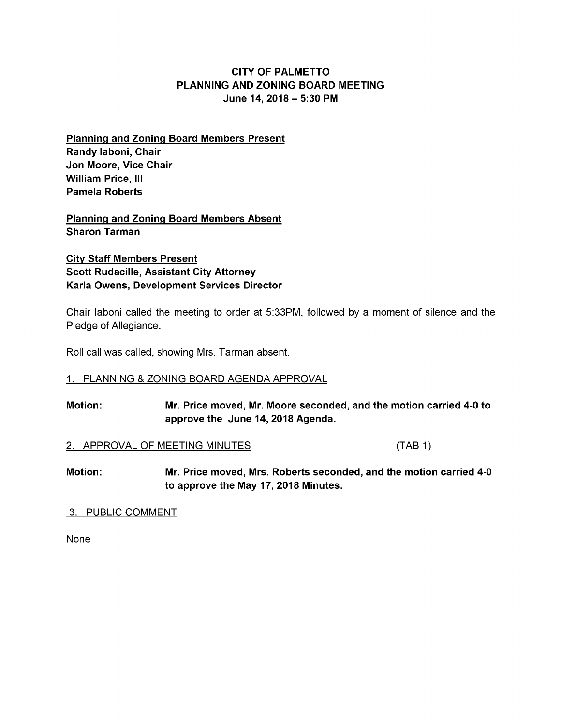## CITY OF PALMETTO PLANNING AND ZONING BOARD MEETING June 14, 2018— 5: 30 PM

Planning and Zoning Board Members Present Randy laboni, Chair Jon Moore, Vice Chair William Price, III Pamela Roberts

Planning and Zoning Board Members Absent Sharon Tarman

City Staff Members Present Scott Rudacille, Assistant City Attorney Karla Owens, Development Services Director

Chair laboni called the meeting to order at 5: 33PM, followed by a moment of silence and the Pledge of Allegiance.

Roll call was called, showing Mrs. Tarman absent.

#### 1. PLANNING & ZONING BOARD AGENDA APPROVAL

Motion: Mr. Price moved, Mr. Moore seconded, and the motion carried 4-0 to approve the June 14, 2018 Agenda.

#### 2. APPROVAL OF MEETING MINUTES TABB 1 (TAB 1)

Motion: Mr. Price moved, Mrs. Roberts seconded, and the motion carried 4-0 to approve the May 17, 2018 Minutes.

#### 3. PUBLIC COMMENT

None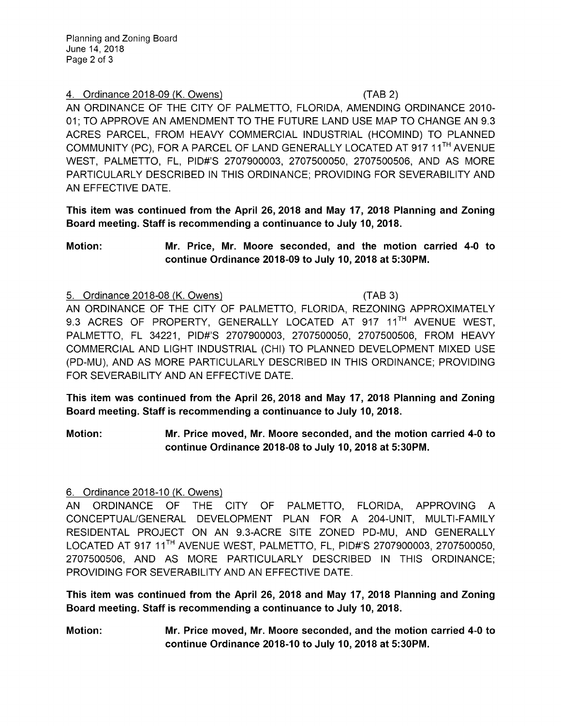### 4. Ordinance 2018-09 (K. Owens) (TAB 2)

AN ORDINANCE OF THE CITY OF PALMETTO, FLORIDA, AMENDING ORDINANCE 2010- 01; TO APPROVE AN AMENDMENT TO THE FUTURE LAND USE MAP TO CHANGE AN 9. 3 ACRES PARCEL, FROM HEAVY COMMERCIAL INDUSTRIAL ( HCOMIND) TO PLANNED COMMUNITY ( PC), FOR A PARCEL OF LAND GENERALLY LOCATED AT 917 11TH AVENUE WEST, PALMETTO, FL, PID#'S 2707900003, 2707500050, 2707500506, AND AS MORE PARTICULARLY DESCRIBED IN THIS ORDINANCE; PROVIDING FOR SEVERABILITY AND AN EFFECTIVE DATE.

This item was continued from the April 26, 2018 and May 17, 2018 Planning and Zoning Board meeting. Staff is recommending a continuance to July 10, 2018.

Motion: Mr. Price, Mr. Moore seconded, and the motion carried 4-0 to continue Ordinance 2018-09 to July 10, 2018 at 5:30PM.

#### 5. Ordinance 2018-08 (K. Owens) TAB 3)

AN ORDINANCE OF THE CITY OF PALMETTO, FLORIDA, REZONING APPROXIMATELY 9.3 ACRES OF PROPERTY, GENERALLY LOCATED AT 917 11<sup>TH</sup> AVENUE WEST. PALMETTO, FL 34221, PID#'S 2707900003, 2707500050, 2707500506, FROM HEAVY COMMERCIAL AND LIGHT INDUSTRIAL ( CHI) TO PLANNED DEVELOPMENT MIXED USE (PD-MU), AND AS MORE PARTICULARLY DESCRIBED IN THIS ORDINANCE; PROVIDING FOR SEVERABILITY AND AN EFFECTIVE DATE.

This item was continued from the April 26, 2018 and May 17, 2018 Planning and Zoning Board meeting. Staff is recommending a continuance to July 10, 2018.

Motion: Mr. Price moved, Mr. Moore seconded, and the motion carried 4-0 to continue Ordinance 2018-08 to July 10, 2018 at 5:30PM.

## 6. Ordinance 2018-10 (K. Owens)

AN ORDINANCE OF THE CITY OF PALMETTO, FLORIDA, APPROVING A CONCEPTUAL/GENERAL DEVELOPMENT PLAN FOR A 204-UNIT, MULTI-FAMILY RESIDENTAL PROJECT ON AN 9.3-ACRE SITE ZONED PD-MU, AND GENERALLY LOCATED AT 917 11<sup>TH</sup> AVENUE WEST, PALMETTO, FL, PID#'S 2707900003, 2707500050, 2707500506, AND AS MORE PARTICULARLY DESCRIBED IN THIS ORDINANCE; PROVIDING FOR SEVERABILITY AND AN EFFECTIVE DATE.

This item was continued from the April 26, 2018 and May 17, 2018 Planning and Zoning Board meeting. Staff is recommending a continuance to July 10, 2018.

Motion: Mr. Price moved, Mr. Moore seconded, and the motion carried 4-0 to continue Ordinance 2018- <sup>10</sup> to July 10, 2018 at 5: 30PM.